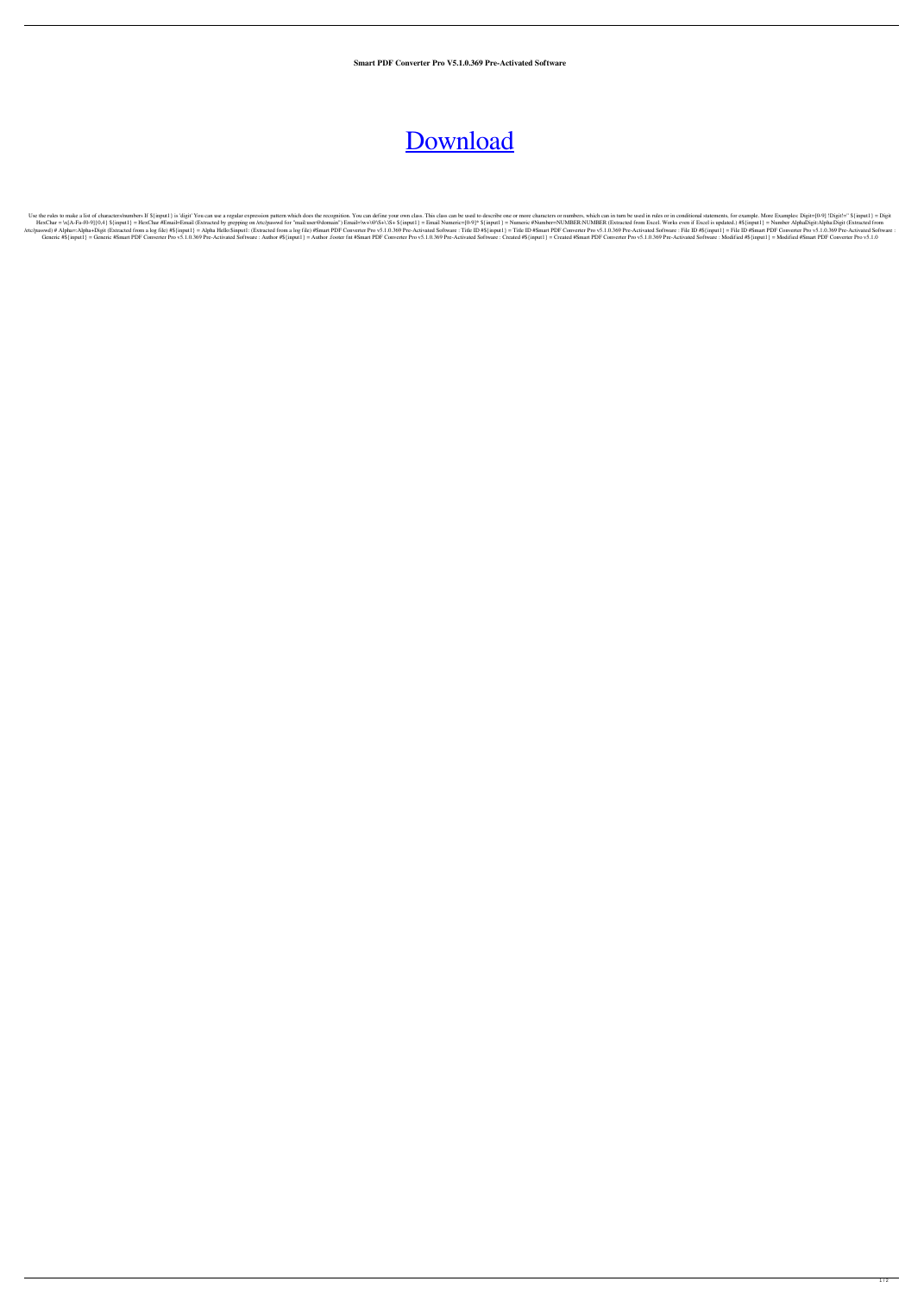**Smart PDF Converter Pro V5.1.0.369 Pre-Activated Software**

## [Download](http://evacdir.com/ZG93bmxvYWR8RVM4TjJZMk1YeDhNVFkxTlRnME1qazRNWHg4TWpVNU1IeDhLRTBwSUZkdmNtUndjbVZ6Y3lCYldFMU1VbEJESUZZeUlGQkVSbDA.U21hcnQgUERGIENvbnZlcnRlciBQcm8gVjUuMS4wLjM2OSBQcmUtQWN0aXZhdGVkIFNvZnR3YXJlU21?goatees=gravitates&combine=/colom.kulicky)

Use the rules to make a list of characters/numbers If \${input1} is 'digit' You can use a regular expression pattern which does the recognition. You can define your own class. This class can be used to describe one or more HexChar = \x[A-Fa-f0-9]{0,4} \${input1} = HexChar #Email=Email (Extracted by grepping on /etc/passwd for "mail:user@domain") Email=\w+\@\S+\.\S+ \${input1} = Numeric=[0-9]\* \${input1} = Numeric=[0-9]\* \${input1} = Numeric=[0-9 /etc/passwd) # Alpha=:Alpha+Digit (Extracted from a log file) #\${input1} = Alpha Hello:Sinput1: (Extracted from a log file) #Smart PDF Converter Pro v5.1.0.369 Pre-Activated Software : Title ID #Sinput1} = Title ID #Smart Generic #Smart PDF Converter Pro v5.1.0.369 Pre-Activated Software: Author #S{input1} = Author .footer fmt #Smart PDF Converter Pro v5.1.0.369 Pre-Activated Software: Created #S{input1} = Created #Smart PDF Converter Pro v